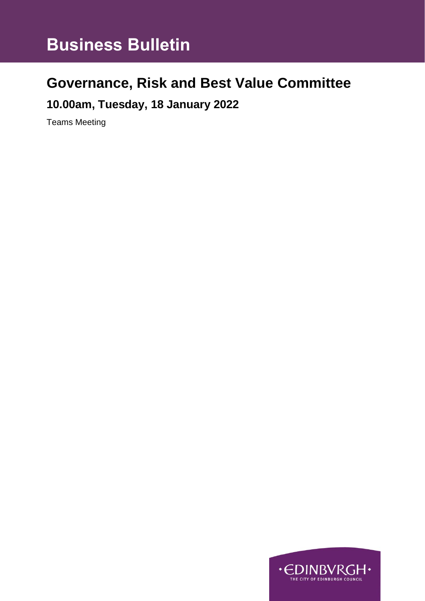# **Business Bulletin**

## **Governance, Risk and Best Value Committee**

## **10.00am, Tuesday, 18 January 2022**

Teams Meeting

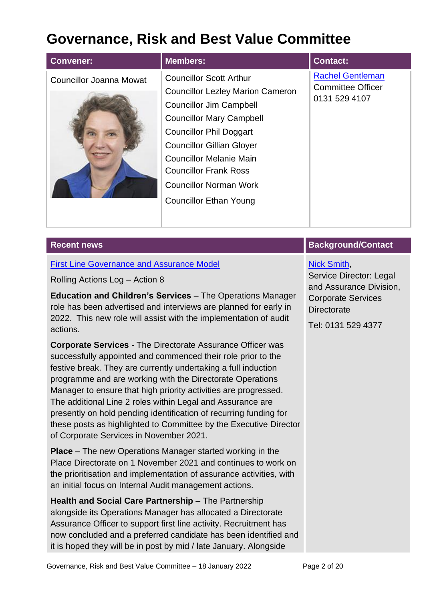## **Governance, Risk and Best Value Committee**

| <b>Convener:</b>        | <b>Members:</b>                                                                                                                                                                                                                                                                                                                                          | <b>Contact:</b>                                                      |
|-------------------------|----------------------------------------------------------------------------------------------------------------------------------------------------------------------------------------------------------------------------------------------------------------------------------------------------------------------------------------------------------|----------------------------------------------------------------------|
| Councillor Joanna Mowat | <b>Councillor Scott Arthur</b><br><b>Councillor Lezley Marion Cameron</b><br><b>Councillor Jim Campbell</b><br><b>Councillor Mary Campbell</b><br><b>Councillor Phil Doggart</b><br><b>Councillor Gillian Gloyer</b><br><b>Councillor Melanie Main</b><br><b>Councillor Frank Ross</b><br><b>Councillor Norman Work</b><br><b>Councillor Ethan Young</b> | <b>Rachel Gentleman</b><br><b>Committee Officer</b><br>0131 529 4107 |
| <b>Recent news</b>      |                                                                                                                                                                                                                                                                                                                                                          | <b>Background/Contact</b>                                            |

#### [First Line Governance and Assurance Model](https://democracy.edinburgh.gov.uk/ieListDocuments.aspx?CId=138&MId=6143&Ver=4)

Rolling Actions Log – Action 8

**Education and Children's Services** – The Operations Manager role has been advertised and interviews are planned for early in 2022. This new role will assist with the implementation of audit actions.

**Corporate Services** - The Directorate Assurance Officer was successfully appointed and commenced their role prior to the festive break. They are currently undertaking a full induction programme and are working with the Directorate Operations Manager to ensure that high priority activities are progressed. The additional Line 2 roles within Legal and Assurance are presently on hold pending identification of recurring funding for these posts as highlighted to Committee by the Executive Director of Corporate Services in November 2021.

**Place** – The new Operations Manager started working in the Place Directorate on 1 November 2021 and continues to work on the prioritisation and implementation of assurance activities, with an initial focus on Internal Audit management actions.

**Health and Social Care Partnership** – The Partnership alongside its Operations Manager has allocated a Directorate Assurance Officer to support first line activity. Recruitment has now concluded and a preferred candidate has been identified and it is hoped they will be in post by mid / late January. Alongside

[Nick Smith,](mailto:nick.smith@edinburgh.gov.uk) Service Director: Legal and Assurance Division, Corporate Services **Directorate** 

Tel: 0131 529 4377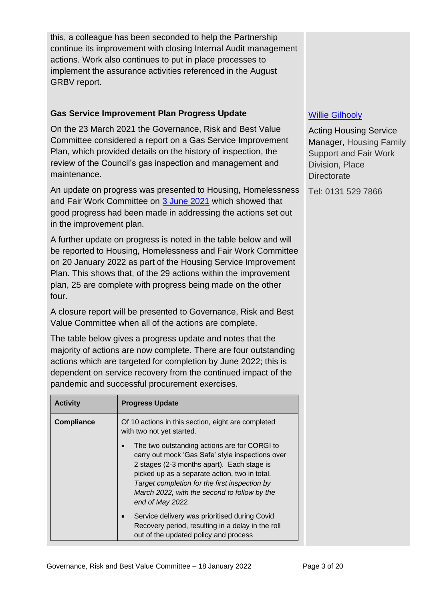this, a colleague has been seconded to help the Partnership continue its improvement with closing Internal Audit management actions. Work also continues to put in place processes to implement the assurance activities referenced in the August GRBV report.

## **Gas Service Improvement Plan Progress Update**

On the 23 March 2021 the Governance, Risk and Best Value Committee considered a report on a Gas Service Improvement Plan, which provided details on the history of inspection, the review of the Council's gas inspection and management and maintenance.

An update on progress was presented to Housing, Homelessness and Fair Work Committee on [3 June 2021](https://democracy.edinburgh.gov.uk/ieListDocuments.aspx?CId=141&MId=5693&Ver=4) which showed that good progress had been made in addressing the actions set out in the improvement plan.

A further update on progress is noted in the table below and will be reported to Housing, Homelessness and Fair Work Committee on 20 January 2022 as part of the Housing Service Improvement Plan. This shows that, of the 29 actions within the improvement plan, 25 are complete with progress being made on the other four.

A closure report will be presented to Governance, Risk and Best Value Committee when all of the actions are complete.

The table below gives a progress update and notes that the majority of actions are now complete. There are four outstanding actions which are targeted for completion by June 2022; this is dependent on service recovery from the continued impact of the pandemic and successful procurement exercises.

| <b>Activity</b>   | <b>Progress Update</b>                                                                                                                                                                                                                                                                                               |  |
|-------------------|----------------------------------------------------------------------------------------------------------------------------------------------------------------------------------------------------------------------------------------------------------------------------------------------------------------------|--|
| <b>Compliance</b> | Of 10 actions in this section, eight are completed<br>with two not yet started.                                                                                                                                                                                                                                      |  |
|                   | The two outstanding actions are for CORGI to<br>carry out mock 'Gas Safe' style inspections over<br>2 stages (2-3 months apart). Each stage is<br>picked up as a separate action, two in total.<br>Target completion for the first inspection by<br>March 2022, with the second to follow by the<br>end of May 2022. |  |
|                   | Service delivery was prioritised during Covid<br>Recovery period, resulting in a delay in the roll<br>out of the updated policy and process                                                                                                                                                                          |  |

## [Willie Gilhooly](mailto:willie.gilhooly@edinburgh.gov.uk)

Acting Housing Service Manager, Housing Family Support and Fair Work Division, Place **Directorate** 

Tel: 0131 529 7866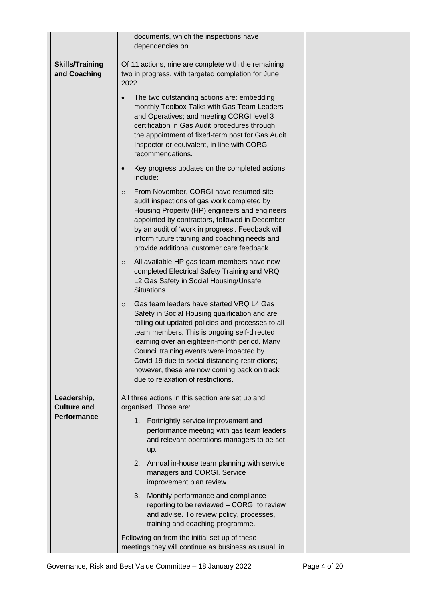|                                        | documents, which the inspections have                                                                                                                                                                                                                                                                                                                                                                                                         |  |
|----------------------------------------|-----------------------------------------------------------------------------------------------------------------------------------------------------------------------------------------------------------------------------------------------------------------------------------------------------------------------------------------------------------------------------------------------------------------------------------------------|--|
|                                        | dependencies on.                                                                                                                                                                                                                                                                                                                                                                                                                              |  |
| <b>Skills/Training</b><br>and Coaching | Of 11 actions, nine are complete with the remaining<br>two in progress, with targeted completion for June<br>2022.                                                                                                                                                                                                                                                                                                                            |  |
|                                        | The two outstanding actions are: embedding<br>monthly Toolbox Talks with Gas Team Leaders<br>and Operatives; and meeting CORGI level 3<br>certification in Gas Audit procedures through<br>the appointment of fixed-term post for Gas Audit<br>Inspector or equivalent, in line with CORGI<br>recommendations.                                                                                                                                |  |
|                                        | Key progress updates on the completed actions<br>include:                                                                                                                                                                                                                                                                                                                                                                                     |  |
|                                        | From November, CORGI have resumed site<br>$\circ$<br>audit inspections of gas work completed by<br>Housing Property (HP) engineers and engineers<br>appointed by contractors, followed in December<br>by an audit of 'work in progress'. Feedback will<br>inform future training and coaching needs and<br>provide additional customer care feedback.                                                                                         |  |
|                                        | All available HP gas team members have now<br>$\circ$<br>completed Electrical Safety Training and VRQ<br>L2 Gas Safety in Social Housing/Unsafe<br>Situations.                                                                                                                                                                                                                                                                                |  |
|                                        | Gas team leaders have started VRQ L4 Gas<br>$\circ$<br>Safety in Social Housing qualification and are<br>rolling out updated policies and processes to all<br>team members. This is ongoing self-directed<br>learning over an eighteen-month period. Many<br>Council training events were impacted by<br>Covid-19 due to social distancing restrictions;<br>however, these are now coming back on track<br>due to relaxation of restrictions. |  |
| Leadership,<br><b>Culture and</b>      | All three actions in this section are set up and<br>organised. Those are:                                                                                                                                                                                                                                                                                                                                                                     |  |
| <b>Performance</b>                     | 1. Fortnightly service improvement and<br>performance meeting with gas team leaders<br>and relevant operations managers to be set<br>up.                                                                                                                                                                                                                                                                                                      |  |
|                                        | 2.<br>Annual in-house team planning with service<br>managers and CORGI. Service<br>improvement plan review.                                                                                                                                                                                                                                                                                                                                   |  |
|                                        | 3.<br>Monthly performance and compliance<br>reporting to be reviewed - CORGI to review<br>and advise. To review policy, processes,<br>training and coaching programme.                                                                                                                                                                                                                                                                        |  |
|                                        | Following on from the initial set up of these<br>meetings they will continue as business as usual, in                                                                                                                                                                                                                                                                                                                                         |  |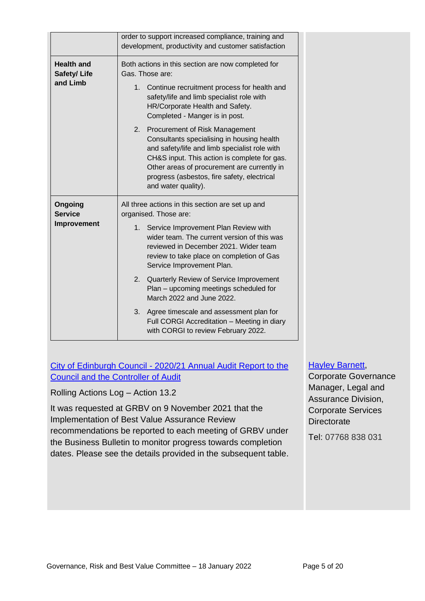|                                              | order to support increased compliance, training and<br>development, productivity and customer satisfaction                                                                                                                                                                                                                                                                                                                                                                                                                                            |
|----------------------------------------------|-------------------------------------------------------------------------------------------------------------------------------------------------------------------------------------------------------------------------------------------------------------------------------------------------------------------------------------------------------------------------------------------------------------------------------------------------------------------------------------------------------------------------------------------------------|
| <b>Health and</b><br>Safety/Life<br>and Limb | Both actions in this section are now completed for<br>Gas. Those are:<br>1. Continue recruitment process for health and<br>safety/life and limb specialist role with<br>HR/Corporate Health and Safety.<br>Completed - Manger is in post.<br>2.<br>Procurement of Risk Management<br>Consultants specialising in housing health<br>and safety/life and limb specialist role with<br>CH&S input. This action is complete for gas.<br>Other areas of procurement are currently in<br>progress (asbestos, fire safety, electrical<br>and water quality). |
| Ongoing<br><b>Service</b><br>Improvement     | All three actions in this section are set up and<br>organised. Those are:<br>1. Service Improvement Plan Review with<br>wider team. The current version of this was<br>reviewed in December 2021. Wider team<br>review to take place on completion of Gas<br>Service Improvement Plan.<br>2.<br>Quarterly Review of Service Improvement<br>Plan - upcoming meetings scheduled for<br>March 2022 and June 2022.<br>3.<br>Agree timescale and assessment plan for<br>Full CORGI Accreditation - Meeting in diary<br>with CORGI to review February 2022. |

City of Edinburgh Council - [2020/21 Annual Audit Report to the](https://democracy.edinburgh.gov.uk/ieListDocuments.aspx?CId=138&MId=6132&Ver=4)  [Council and the Controller of Audit](https://democracy.edinburgh.gov.uk/ieListDocuments.aspx?CId=138&MId=6132&Ver=4)

Rolling Actions Log – Action 13.2

It was requested at GRBV on 9 November 2021 that the Implementation of Best Value Assurance Review recommendations be reported to each meeting of GRBV under the Business Bulletin to monitor progress towards completion dates. Please see the details provided in the subsequent table.

#### [Hayley Barnett,](mailto:hayley.barnett@edinburgh.gov.uk)

Corporate Governance Manager, Legal and Assurance Division, Corporate Services **Directorate** 

Tel: 07768 838 031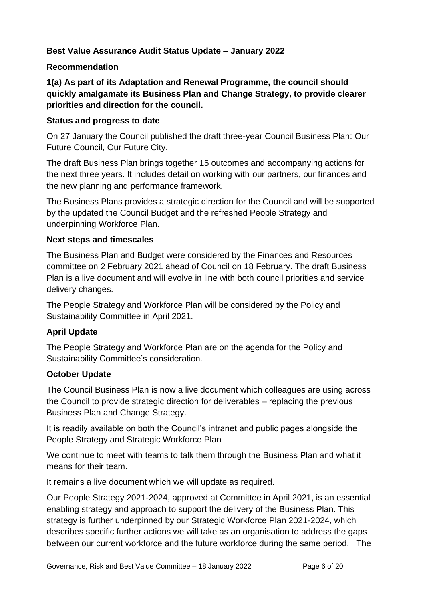## **Best Value Assurance Audit Status Update – January 2022**

#### **Recommendation**

**1(a) As part of its Adaptation and Renewal Programme, the council should quickly amalgamate its Business Plan and Change Strategy, to provide clearer priorities and direction for the council.**

#### **Status and progress to date**

On 27 January the Council published the draft three-year Council Business Plan: Our Future Council, Our Future City.

The draft Business Plan brings together 15 outcomes and accompanying actions for the next three years. It includes detail on working with our partners, our finances and the new planning and performance framework.

The Business Plans provides a strategic direction for the Council and will be supported by the updated the Council Budget and the refreshed People Strategy and underpinning Workforce Plan.

#### **Next steps and timescales**

The Business Plan and Budget were considered by the Finances and Resources committee on 2 February 2021 ahead of Council on 18 February. The draft Business Plan is a live document and will evolve in line with both council priorities and service delivery changes.

The People Strategy and Workforce Plan will be considered by the Policy and Sustainability Committee in April 2021.

#### **April Update**

The People Strategy and Workforce Plan are on the agenda for the Policy and Sustainability Committee's consideration.

#### **October Update**

The Council Business Plan is now a live document which colleagues are using across the Council to provide strategic direction for deliverables – replacing the previous Business Plan and Change Strategy.

It is readily available on both the Council's intranet and public pages alongside the People Strategy and Strategic Workforce Plan

We continue to meet with teams to talk them through the Business Plan and what it means for their team.

It remains a live document which we will update as required.

Our People Strategy 2021-2024, approved at Committee in April 2021, is an essential enabling strategy and approach to support the delivery of the Business Plan. This strategy is further underpinned by our Strategic Workforce Plan 2021-2024, which describes specific further actions we will take as an organisation to address the gaps between our current workforce and the future workforce during the same period. The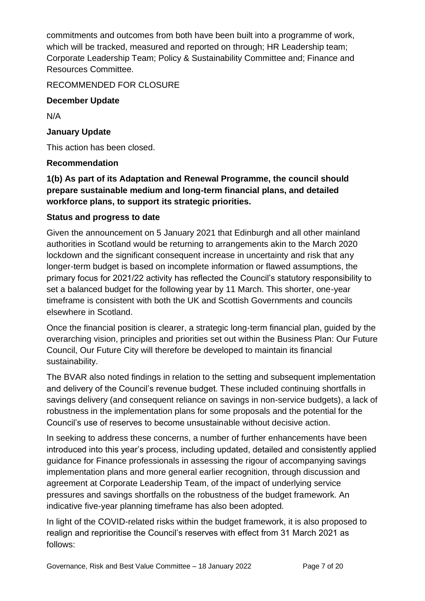commitments and outcomes from both have been built into a programme of work, which will be tracked, measured and reported on through; HR Leadership team; Corporate Leadership Team; Policy & Sustainability Committee and; Finance and Resources Committee.

## RECOMMENDED FOR CLOSURE

#### **December Update**

N/A

#### **January Update**

This action has been closed.

#### **Recommendation**

## **1(b) As part of its Adaptation and Renewal Programme, the council should prepare sustainable medium and long-term financial plans, and detailed workforce plans, to support its strategic priorities.**

## **Status and progress to date**

Given the announcement on 5 January 2021 that Edinburgh and all other mainland authorities in Scotland would be returning to arrangements akin to the March 2020 lockdown and the significant consequent increase in uncertainty and risk that any longer-term budget is based on incomplete information or flawed assumptions, the primary focus for 2021/22 activity has reflected the Council's statutory responsibility to set a balanced budget for the following year by 11 March. This shorter, one-year timeframe is consistent with both the UK and Scottish Governments and councils elsewhere in Scotland.

Once the financial position is clearer, a strategic long-term financial plan, guided by the overarching vision, principles and priorities set out within the Business Plan: Our Future Council, Our Future City will therefore be developed to maintain its financial sustainability.

The BVAR also noted findings in relation to the setting and subsequent implementation and delivery of the Council's revenue budget. These included continuing shortfalls in savings delivery (and consequent reliance on savings in non-service budgets), a lack of robustness in the implementation plans for some proposals and the potential for the Council's use of reserves to become unsustainable without decisive action.

In seeking to address these concerns, a number of further enhancements have been introduced into this year's process, including updated, detailed and consistently applied guidance for Finance professionals in assessing the rigour of accompanying savings implementation plans and more general earlier recognition, through discussion and agreement at Corporate Leadership Team, of the impact of underlying service pressures and savings shortfalls on the robustness of the budget framework. An indicative five-year planning timeframe has also been adopted.

In light of the COVID-related risks within the budget framework, it is also proposed to realign and reprioritise the Council's reserves with effect from 31 March 2021 as follows: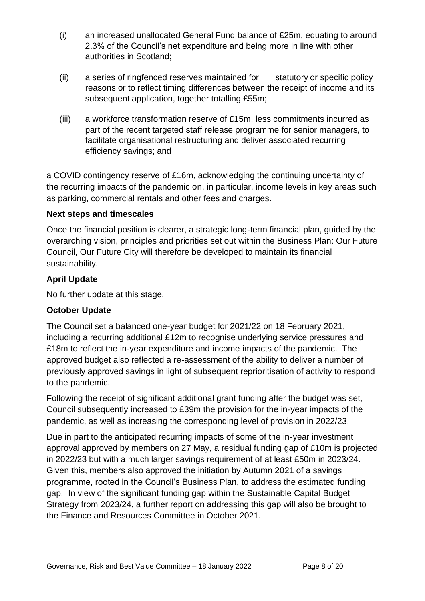- (i) an increased unallocated General Fund balance of £25m, equating to around 2.3% of the Council's net expenditure and being more in line with other authorities in Scotland;
- (ii) a series of ringfenced reserves maintained for statutory or specific policy reasons or to reflect timing differences between the receipt of income and its subsequent application, together totalling £55m;
- (iii) a workforce transformation reserve of £15m, less commitments incurred as part of the recent targeted staff release programme for senior managers, to facilitate organisational restructuring and deliver associated recurring efficiency savings; and

a COVID contingency reserve of £16m, acknowledging the continuing uncertainty of the recurring impacts of the pandemic on, in particular, income levels in key areas such as parking, commercial rentals and other fees and charges.

#### **Next steps and timescales**

Once the financial position is clearer, a strategic long-term financial plan, guided by the overarching vision, principles and priorities set out within the Business Plan: Our Future Council, Our Future City will therefore be developed to maintain its financial sustainability.

#### **April Update**

No further update at this stage.

#### **October Update**

The Council set a balanced one-year budget for 2021/22 on 18 February 2021, including a recurring additional £12m to recognise underlying service pressures and £18m to reflect the in-year expenditure and income impacts of the pandemic. The approved budget also reflected a re-assessment of the ability to deliver a number of previously approved savings in light of subsequent reprioritisation of activity to respond to the pandemic.

Following the receipt of significant additional grant funding after the budget was set, Council subsequently increased to £39m the provision for the in-year impacts of the pandemic, as well as increasing the corresponding level of provision in 2022/23.

Due in part to the anticipated recurring impacts of some of the in-year investment approval approved by members on 27 May, a residual funding gap of £10m is projected in 2022/23 but with a much larger savings requirement of at least £50m in 2023/24. Given this, members also approved the initiation by Autumn 2021 of a savings programme, rooted in the Council's Business Plan, to address the estimated funding gap. In view of the significant funding gap within the Sustainable Capital Budget Strategy from 2023/24, a further report on addressing this gap will also be brought to the Finance and Resources Committee in October 2021.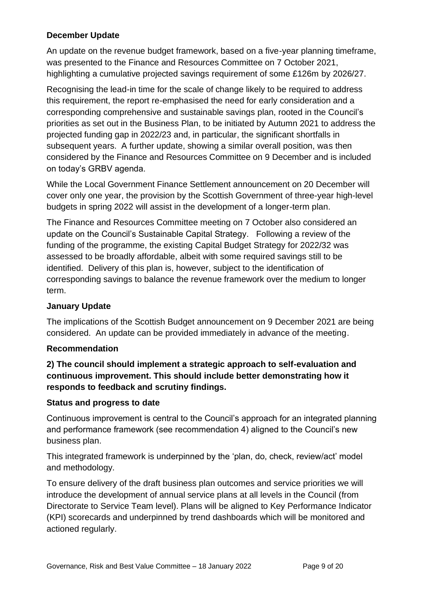## **December Update**

An update on the revenue budget framework, based on a five-year planning timeframe, was presented to the Finance and Resources Committee on 7 October 2021, highlighting a cumulative projected savings requirement of some £126m by 2026/27.

Recognising the lead-in time for the scale of change likely to be required to address this requirement, the report re-emphasised the need for early consideration and a corresponding comprehensive and sustainable savings plan, rooted in the Council's priorities as set out in the Business Plan, to be initiated by Autumn 2021 to address the projected funding gap in 2022/23 and, in particular, the significant shortfalls in subsequent years. A further update, showing a similar overall position, was then considered by the Finance and Resources Committee on 9 December and is included on today's GRBV agenda.

While the Local Government Finance Settlement announcement on 20 December will cover only one year, the provision by the Scottish Government of three-year high-level budgets in spring 2022 will assist in the development of a longer-term plan.

The Finance and Resources Committee meeting on 7 October also considered an update on the Council's Sustainable Capital Strategy. Following a review of the funding of the programme, the existing Capital Budget Strategy for 2022/32 was assessed to be broadly affordable, albeit with some required savings still to be identified. Delivery of this plan is, however, subject to the identification of corresponding savings to balance the revenue framework over the medium to longer term.

#### **January Update**

The implications of the Scottish Budget announcement on 9 December 2021 are being considered. An update can be provided immediately in advance of the meeting.

#### **Recommendation**

## **2) The council should implement a strategic approach to self-evaluation and continuous improvement. This should include better demonstrating how it responds to feedback and scrutiny findings.**

#### **Status and progress to date**

Continuous improvement is central to the Council's approach for an integrated planning and performance framework (see recommendation 4) aligned to the Council's new business plan.

This integrated framework is underpinned by the 'plan, do, check, review/act' model and methodology.

To ensure delivery of the draft business plan outcomes and service priorities we will introduce the development of annual service plans at all levels in the Council (from Directorate to Service Team level). Plans will be aligned to Key Performance Indicator (KPI) scorecards and underpinned by trend dashboards which will be monitored and actioned regularly.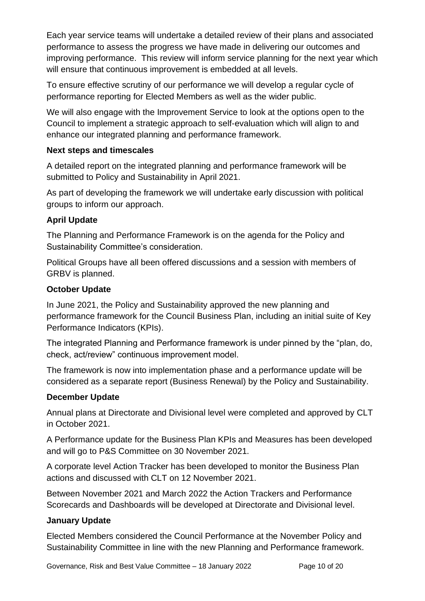Each year service teams will undertake a detailed review of their plans and associated performance to assess the progress we have made in delivering our outcomes and improving performance. This review will inform service planning for the next year which will ensure that continuous improvement is embedded at all levels.

To ensure effective scrutiny of our performance we will develop a regular cycle of performance reporting for Elected Members as well as the wider public.

We will also engage with the Improvement Service to look at the options open to the Council to implement a strategic approach to self-evaluation which will align to and enhance our integrated planning and performance framework.

## **Next steps and timescales**

A detailed report on the integrated planning and performance framework will be submitted to Policy and Sustainability in April 2021.

As part of developing the framework we will undertake early discussion with political groups to inform our approach.

## **April Update**

The Planning and Performance Framework is on the agenda for the Policy and Sustainability Committee's consideration.

Political Groups have all been offered discussions and a session with members of GRBV is planned.

## **October Update**

In June 2021, the Policy and Sustainability approved the new planning and performance framework for the Council Business Plan, including an initial suite of Key Performance Indicators (KPIs).

The integrated Planning and Performance framework is under pinned by the "plan, do, check, act/review" continuous improvement model.

The framework is now into implementation phase and a performance update will be considered as a separate report (Business Renewal) by the Policy and Sustainability.

## **December Update**

Annual plans at Directorate and Divisional level were completed and approved by CLT in October 2021.

A Performance update for the Business Plan KPIs and Measures has been developed and will go to P&S Committee on 30 November 2021.

A corporate level Action Tracker has been developed to monitor the Business Plan actions and discussed with CLT on 12 November 2021.

Between November 2021 and March 2022 the Action Trackers and Performance Scorecards and Dashboards will be developed at Directorate and Divisional level.

## **January Update**

Elected Members considered the Council Performance at the November Policy and Sustainability Committee in line with the new Planning and Performance framework.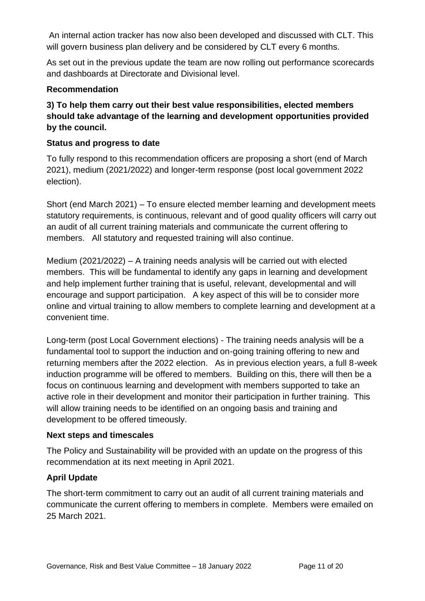An internal action tracker has now also been developed and discussed with CLT. This will govern business plan delivery and be considered by CLT every 6 months.

As set out in the previous update the team are now rolling out performance scorecards and dashboards at Directorate and Divisional level.

#### **Recommendation**

## **3) To help them carry out their best value responsibilities, elected members should take advantage of the learning and development opportunities provided by the council.**

#### **Status and progress to date**

To fully respond to this recommendation officers are proposing a short (end of March 2021), medium (2021/2022) and longer-term response (post local government 2022 election).

Short (end March 2021) – To ensure elected member learning and development meets statutory requirements, is continuous, relevant and of good quality officers will carry out an audit of all current training materials and communicate the current offering to members. All statutory and requested training will also continue.

Medium (2021/2022) – A training needs analysis will be carried out with elected members. This will be fundamental to identify any gaps in learning and development and help implement further training that is useful, relevant, developmental and will encourage and support participation. A key aspect of this will be to consider more online and virtual training to allow members to complete learning and development at a convenient time.

Long-term (post Local Government elections) - The training needs analysis will be a fundamental tool to support the induction and on-going training offering to new and returning members after the 2022 election. As in previous election years, a full 8-week induction programme will be offered to members. Building on this, there will then be a focus on continuous learning and development with members supported to take an active role in their development and monitor their participation in further training. This will allow training needs to be identified on an ongoing basis and training and development to be offered timeously.

#### **Next steps and timescales**

The Policy and Sustainability will be provided with an update on the progress of this recommendation at its next meeting in April 2021.

#### **April Update**

The short-term commitment to carry out an audit of all current training materials and communicate the current offering to members in complete. Members were emailed on 25 March 2021.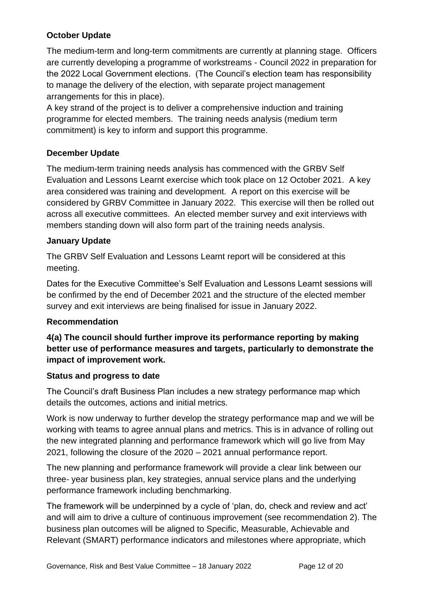## **October Update**

The medium-term and long-term commitments are currently at planning stage. Officers are currently developing a programme of workstreams - Council 2022 in preparation for the 2022 Local Government elections. (The Council's election team has responsibility to manage the delivery of the election, with separate project management arrangements for this in place).

A key strand of the project is to deliver a comprehensive induction and training programme for elected members. The training needs analysis (medium term commitment) is key to inform and support this programme.

### **December Update**

The medium-term training needs analysis has commenced with the GRBV Self Evaluation and Lessons Learnt exercise which took place on 12 October 2021. A key area considered was training and development. A report on this exercise will be considered by GRBV Committee in January 2022. This exercise will then be rolled out across all executive committees. An elected member survey and exit interviews with members standing down will also form part of the training needs analysis.

#### **January Update**

The GRBV Self Evaluation and Lessons Learnt report will be considered at this meeting.

Dates for the Executive Committee's Self Evaluation and Lessons Learnt sessions will be confirmed by the end of December 2021 and the structure of the elected member survey and exit interviews are being finalised for issue in January 2022.

#### **Recommendation**

## **4(a) The council should further improve its performance reporting by making better use of performance measures and targets, particularly to demonstrate the impact of improvement work.**

#### **Status and progress to date**

The Council's draft Business Plan includes a new strategy performance map which details the outcomes, actions and initial metrics.

Work is now underway to further develop the strategy performance map and we will be working with teams to agree annual plans and metrics. This is in advance of rolling out the new integrated planning and performance framework which will go live from May 2021, following the closure of the 2020 – 2021 annual performance report.

The new planning and performance framework will provide a clear link between our three- year business plan, key strategies, annual service plans and the underlying performance framework including benchmarking.

The framework will be underpinned by a cycle of 'plan, do, check and review and act' and will aim to drive a culture of continuous improvement (see recommendation 2). The business plan outcomes will be aligned to Specific, Measurable, Achievable and Relevant (SMART) performance indicators and milestones where appropriate, which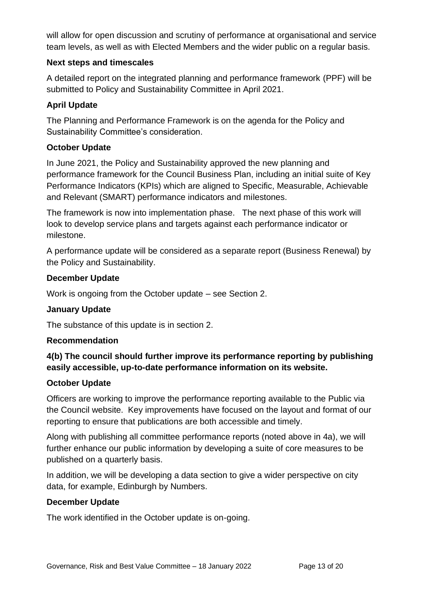will allow for open discussion and scrutiny of performance at organisational and service team levels, as well as with Elected Members and the wider public on a regular basis.

#### **Next steps and timescales**

A detailed report on the integrated planning and performance framework (PPF) will be submitted to Policy and Sustainability Committee in April 2021.

#### **April Update**

The Planning and Performance Framework is on the agenda for the Policy and Sustainability Committee's consideration.

#### **October Update**

In June 2021, the Policy and Sustainability approved the new planning and performance framework for the Council Business Plan, including an initial suite of Key Performance Indicators (KPIs) which are aligned to Specific, Measurable, Achievable and Relevant (SMART) performance indicators and milestones.

The framework is now into implementation phase. The next phase of this work will look to develop service plans and targets against each performance indicator or milestone.

A performance update will be considered as a separate report (Business Renewal) by the Policy and Sustainability.

#### **December Update**

Work is ongoing from the October update – see Section 2.

#### **January Update**

The substance of this update is in section 2.

#### **Recommendation**

## **4(b) The council should further improve its performance reporting by publishing easily accessible, up-to-date performance information on its website.**

#### **October Update**

Officers are working to improve the performance reporting available to the Public via the Council website. Key improvements have focused on the layout and format of our reporting to ensure that publications are both accessible and timely.

Along with publishing all committee performance reports (noted above in 4a), we will further enhance our public information by developing a suite of core measures to be published on a quarterly basis.

In addition, we will be developing a data section to give a wider perspective on city data, for example, Edinburgh by Numbers.

#### **December Update**

The work identified in the October update is on-going.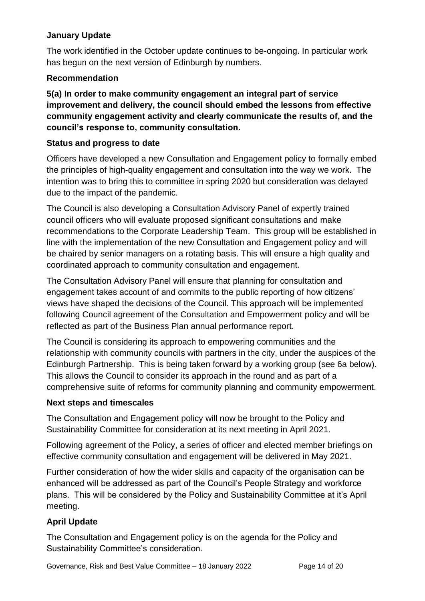## **January Update**

The work identified in the October update continues to be-ongoing. In particular work has begun on the next version of Edinburgh by numbers.

## **Recommendation**

**5(a) In order to make community engagement an integral part of service improvement and delivery, the council should embed the lessons from effective community engagement activity and clearly communicate the results of, and the council's response to, community consultation.**

## **Status and progress to date**

Officers have developed a new Consultation and Engagement policy to formally embed the principles of high-quality engagement and consultation into the way we work. The intention was to bring this to committee in spring 2020 but consideration was delayed due to the impact of the pandemic.

The Council is also developing a Consultation Advisory Panel of expertly trained council officers who will evaluate proposed significant consultations and make recommendations to the Corporate Leadership Team. This group will be established in line with the implementation of the new Consultation and Engagement policy and will be chaired by senior managers on a rotating basis. This will ensure a high quality and coordinated approach to community consultation and engagement.

The Consultation Advisory Panel will ensure that planning for consultation and engagement takes account of and commits to the public reporting of how citizens' views have shaped the decisions of the Council. This approach will be implemented following Council agreement of the Consultation and Empowerment policy and will be reflected as part of the Business Plan annual performance report.

The Council is considering its approach to empowering communities and the relationship with community councils with partners in the city, under the auspices of the Edinburgh Partnership. This is being taken forward by a working group (see 6a below). This allows the Council to consider its approach in the round and as part of a comprehensive suite of reforms for community planning and community empowerment.

#### **Next steps and timescales**

The Consultation and Engagement policy will now be brought to the Policy and Sustainability Committee for consideration at its next meeting in April 2021.

Following agreement of the Policy, a series of officer and elected member briefings on effective community consultation and engagement will be delivered in May 2021.

Further consideration of how the wider skills and capacity of the organisation can be enhanced will be addressed as part of the Council's People Strategy and workforce plans. This will be considered by the Policy and Sustainability Committee at it's April meeting.

## **April Update**

The Consultation and Engagement policy is on the agenda for the Policy and Sustainability Committee's consideration.

Governance, Risk and Best Value Committee – 18 January 2022 Page 14 of 20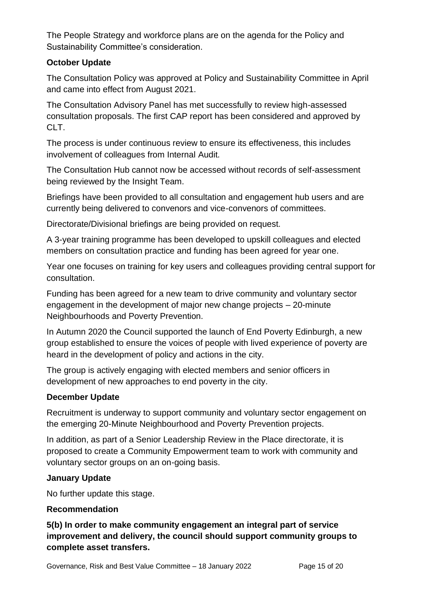The People Strategy and workforce plans are on the agenda for the Policy and Sustainability Committee's consideration.

#### **October Update**

The Consultation Policy was approved at Policy and Sustainability Committee in April and came into effect from August 2021.

The Consultation Advisory Panel has met successfully to review high-assessed consultation proposals. The first CAP report has been considered and approved by CLT.

The process is under continuous review to ensure its effectiveness, this includes involvement of colleagues from Internal Audit.

The Consultation Hub cannot now be accessed without records of self-assessment being reviewed by the Insight Team.

Briefings have been provided to all consultation and engagement hub users and are currently being delivered to convenors and vice-convenors of committees.

Directorate/Divisional briefings are being provided on request.

A 3-year training programme has been developed to upskill colleagues and elected members on consultation practice and funding has been agreed for year one.

Year one focuses on training for key users and colleagues providing central support for consultation.

Funding has been agreed for a new team to drive community and voluntary sector engagement in the development of major new change projects – 20-minute Neighbourhoods and Poverty Prevention.

In Autumn 2020 the Council supported the launch of End Poverty Edinburgh, a new group established to ensure the voices of people with lived experience of poverty are heard in the development of policy and actions in the city.

The group is actively engaging with elected members and senior officers in development of new approaches to end poverty in the city.

#### **December Update**

Recruitment is underway to support community and voluntary sector engagement on the emerging 20-Minute Neighbourhood and Poverty Prevention projects.

In addition, as part of a Senior Leadership Review in the Place directorate, it is proposed to create a Community Empowerment team to work with community and voluntary sector groups on an on-going basis.

#### **January Update**

No further update this stage.

#### **Recommendation**

**5(b) In order to make community engagement an integral part of service improvement and delivery, the council should support community groups to complete asset transfers.**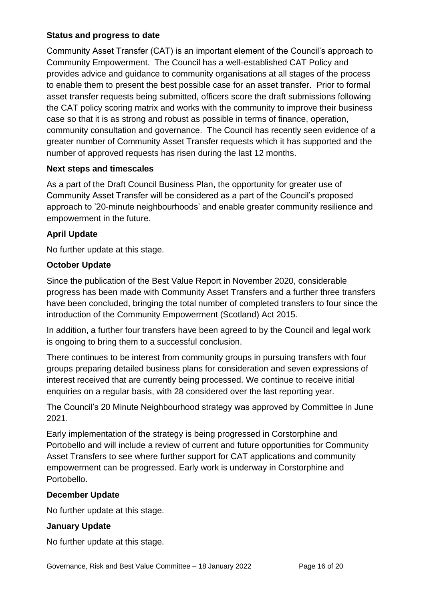#### **Status and progress to date**

Community Asset Transfer (CAT) is an important element of the Council's approach to Community Empowerment. The Council has a well-established CAT Policy and provides advice and guidance to community organisations at all stages of the process to enable them to present the best possible case for an asset transfer. Prior to formal asset transfer requests being submitted, officers score the draft submissions following the CAT policy scoring matrix and works with the community to improve their business case so that it is as strong and robust as possible in terms of finance, operation, community consultation and governance. The Council has recently seen evidence of a greater number of Community Asset Transfer requests which it has supported and the number of approved requests has risen during the last 12 months.

#### **Next steps and timescales**

As a part of the Draft Council Business Plan, the opportunity for greater use of Community Asset Transfer will be considered as a part of the Council's proposed approach to '20-minute neighbourhoods' and enable greater community resilience and empowerment in the future.

#### **April Update**

No further update at this stage.

#### **October Update**

Since the publication of the Best Value Report in November 2020, considerable progress has been made with Community Asset Transfers and a further three transfers have been concluded, bringing the total number of completed transfers to four since the introduction of the Community Empowerment (Scotland) Act 2015.

In addition, a further four transfers have been agreed to by the Council and legal work is ongoing to bring them to a successful conclusion.

There continues to be interest from community groups in pursuing transfers with four groups preparing detailed business plans for consideration and seven expressions of interest received that are currently being processed. We continue to receive initial enquiries on a regular basis, with 28 considered over the last reporting year.

The Council's 20 Minute Neighbourhood strategy was approved by Committee in June 2021.

Early implementation of the strategy is being progressed in Corstorphine and Portobello and will include a review of current and future opportunities for Community Asset Transfers to see where further support for CAT applications and community empowerment can be progressed. Early work is underway in Corstorphine and Portobello.

#### **December Update**

No further update at this stage.

#### **January Update**

No further update at this stage.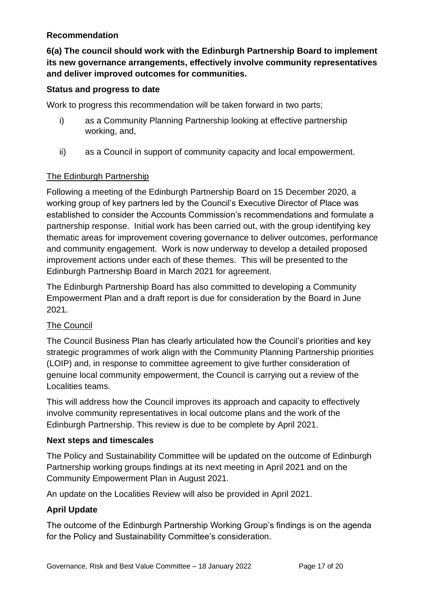#### **Recommendation**

**6(a) The council should work with the Edinburgh Partnership Board to implement its new governance arrangements, effectively involve community representatives and deliver improved outcomes for communities.**

#### **Status and progress to date**

Work to progress this recommendation will be taken forward in two parts;

- i) as a Community Planning Partnership looking at effective partnership working, and,
- ii) as a Council in support of community capacity and local empowerment.

#### The Edinburgh Partnership

Following a meeting of the Edinburgh Partnership Board on 15 December 2020, a working group of key partners led by the Council's Executive Director of Place was established to consider the Accounts Commission's recommendations and formulate a partnership response. Initial work has been carried out, with the group identifying key thematic areas for improvement covering governance to deliver outcomes, performance and community engagement. Work is now underway to develop a detailed proposed improvement actions under each of these themes. This will be presented to the Edinburgh Partnership Board in March 2021 for agreement.

The Edinburgh Partnership Board has also committed to developing a Community Empowerment Plan and a draft report is due for consideration by the Board in June 2021.

#### The Council

The Council Business Plan has clearly articulated how the Council's priorities and key strategic programmes of work align with the Community Planning Partnership priorities (LOIP) and, in response to committee agreement to give further consideration of genuine local community empowerment, the Council is carrying out a review of the Localities teams.

This will address how the Council improves its approach and capacity to effectively involve community representatives in local outcome plans and the work of the Edinburgh Partnership. This review is due to be complete by April 2021.

#### **Next steps and timescales**

The Policy and Sustainability Committee will be updated on the outcome of Edinburgh Partnership working groups findings at its next meeting in April 2021 and on the Community Empowerment Plan in August 2021.

An update on the Localities Review will also be provided in April 2021.

#### **April Update**

The outcome of the Edinburgh Partnership Working Group's findings is on the agenda for the Policy and Sustainability Committee's consideration.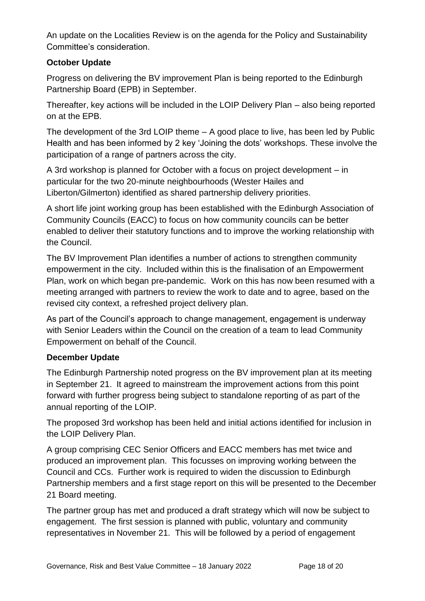An update on the Localities Review is on the agenda for the Policy and Sustainability Committee's consideration.

## **October Update**

Progress on delivering the BV improvement Plan is being reported to the Edinburgh Partnership Board (EPB) in September.

Thereafter, key actions will be included in the LOIP Delivery Plan – also being reported on at the EPB.

The development of the 3rd LOIP theme – A good place to live, has been led by Public Health and has been informed by 2 key 'Joining the dots' workshops. These involve the participation of a range of partners across the city.

A 3rd workshop is planned for October with a focus on project development – in particular for the two 20-minute neighbourhoods (Wester Hailes and Liberton/Gilmerton) identified as shared partnership delivery priorities.

A short life joint working group has been established with the Edinburgh Association of Community Councils (EACC) to focus on how community councils can be better enabled to deliver their statutory functions and to improve the working relationship with the Council.

The BV Improvement Plan identifies a number of actions to strengthen community empowerment in the city. Included within this is the finalisation of an Empowerment Plan, work on which began pre-pandemic. Work on this has now been resumed with a meeting arranged with partners to review the work to date and to agree, based on the revised city context, a refreshed project delivery plan.

As part of the Council's approach to change management, engagement is underway with Senior Leaders within the Council on the creation of a team to lead Community Empowerment on behalf of the Council.

## **December Update**

The Edinburgh Partnership noted progress on the BV improvement plan at its meeting in September 21. It agreed to mainstream the improvement actions from this point forward with further progress being subject to standalone reporting of as part of the annual reporting of the LOIP.

The proposed 3rd workshop has been held and initial actions identified for inclusion in the LOIP Delivery Plan.

A group comprising CEC Senior Officers and EACC members has met twice and produced an improvement plan. This focusses on improving working between the Council and CCs. Further work is required to widen the discussion to Edinburgh Partnership members and a first stage report on this will be presented to the December 21 Board meeting.

The partner group has met and produced a draft strategy which will now be subject to engagement. The first session is planned with public, voluntary and community representatives in November 21. This will be followed by a period of engagement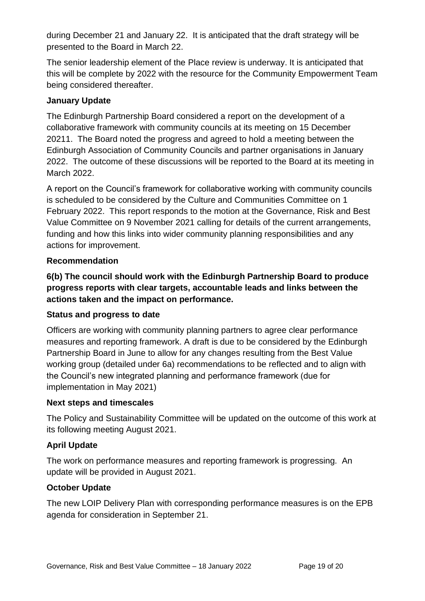during December 21 and January 22. It is anticipated that the draft strategy will be presented to the Board in March 22.

The senior leadership element of the Place review is underway. It is anticipated that this will be complete by 2022 with the resource for the Community Empowerment Team being considered thereafter.

#### **January Update**

The Edinburgh Partnership Board considered a report on the development of a collaborative framework with community councils at its meeting on 15 December 20211. The Board noted the progress and agreed to hold a meeting between the Edinburgh Association of Community Councils and partner organisations in January 2022. The outcome of these discussions will be reported to the Board at its meeting in March 2022.

A report on the Council's framework for collaborative working with community councils is scheduled to be considered by the Culture and Communities Committee on 1 February 2022. This report responds to the motion at the Governance, Risk and Best Value Committee on 9 November 2021 calling for details of the current arrangements, funding and how this links into wider community planning responsibilities and any actions for improvement.

#### **Recommendation**

**6(b) The council should work with the Edinburgh Partnership Board to produce progress reports with clear targets, accountable leads and links between the actions taken and the impact on performance.**

#### **Status and progress to date**

Officers are working with community planning partners to agree clear performance measures and reporting framework. A draft is due to be considered by the Edinburgh Partnership Board in June to allow for any changes resulting from the Best Value working group (detailed under 6a) recommendations to be reflected and to align with the Council's new integrated planning and performance framework (due for implementation in May 2021)

#### **Next steps and timescales**

The Policy and Sustainability Committee will be updated on the outcome of this work at its following meeting August 2021.

#### **April Update**

The work on performance measures and reporting framework is progressing. An update will be provided in August 2021.

#### **October Update**

The new LOIP Delivery Plan with corresponding performance measures is on the EPB agenda for consideration in September 21.